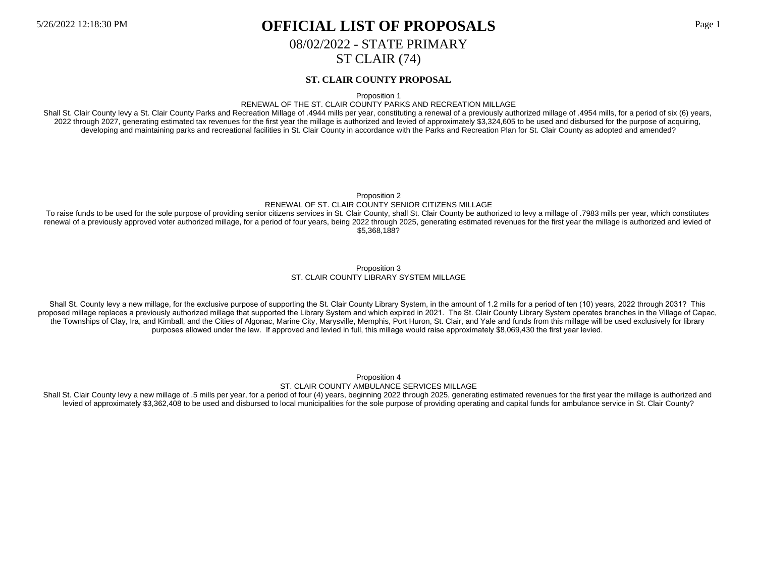08/02/2022 - STATE PRIMARY

ST CLAIR (74)

### **ST. CLAIR COUNTY PROPOSAL**

Proposition 1

#### RENEWAL OF THE ST. CLAIR COUNTY PARKS AND RECREATION MILLAGE

Shall St. Clair County levy a St. Clair County Parks and Recreation Millage of .4944 mills per year, constituting a renewal of a previously authorized millage of .4954 mills, for a period of six (6) years, 2022 through 2027, generating estimated tax revenues for the first year the millage is authorized and levied of approximately \$3,324,605 to be used and disbursed for the purpose of acquiring, developing and maintaining parks and recreational facilities in St. Clair County in accordance with the Parks and Recreation Plan for St. Clair County as adopted and amended?

Proposition 2

#### RENEWAL OF ST. CLAIR COUNTY SENIOR CITIZENS MILLAGE

To raise funds to be used for the sole purpose of providing senior citizens services in St. Clair County, shall St. Clair County be authorized to levy a millage of .7983 mills per year, which constitutes renewal of a previously approved voter authorized millage, for a period of four years, being 2022 through 2025, generating estimated revenues for the first year the millage is authorized and levied of \$5,368,188?

#### Proposition 3 ST. CLAIR COUNTY LIBRARY SYSTEM MILLAGE

Shall St. County levy a new millage, for the exclusive purpose of supporting the St. Clair County Library System, in the amount of 1.2 mills for a period of ten (10) years, 2022 through 2031? This proposed millage replaces a previously authorized millage that supported the Library System and which expired in 2021. The St. Clair County Library System operates branches in the Village of Capac, the Townships of Clay, Ira, and Kimball, and the Cities of Algonac, Marine City, Marysville, Memphis, Port Huron, St. Clair, and Yale and funds from this millage will be used exclusively for library purposes allowed under the law. If approved and levied in full, this millage would raise approximately \$8,069,430 the first year levied.

> Proposition 4 ST. CLAIR COUNTY AMBULANCE SERVICES MILLAGE

Shall St. Clair County levy a new millage of .5 mills per year, for a period of four (4) years, beginning 2022 through 2025, generating estimated revenues for the first year the millage is authorized and levied of approximately \$3,362,408 to be used and disbursed to local municipalities for the sole purpose of providing operating and capital funds for ambulance service in St. Clair County?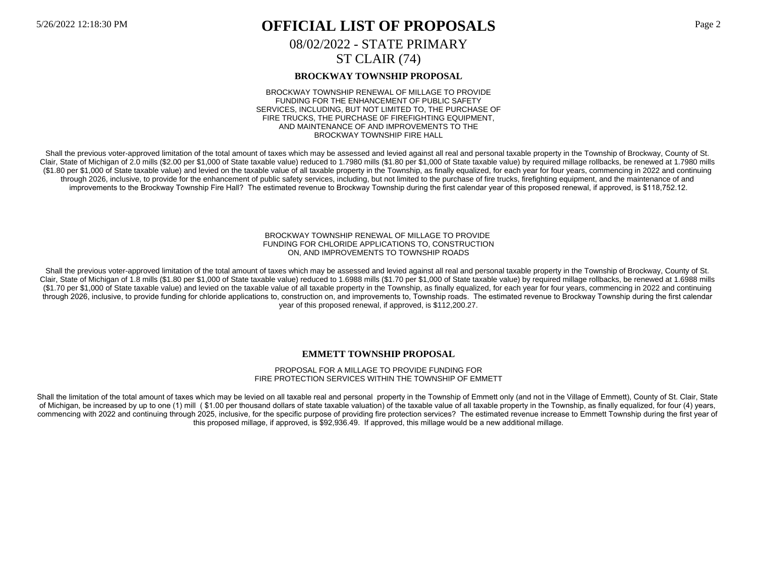# 5/26/2022 12:18:30 PM **OFFICIAL LIST OF PROPOSALS** Page 2 08/02/2022 - STATE PRIMARY ST CLAIR (74)

## **BROCKWAY TOWNSHIP PROPOSAL**

BROCKWAY TOWNSHIP RENEWAL OF MILLAGE TO PROVIDE FUNDING FOR THE ENHANCEMENT OF PUBLIC SAFETY SERVICES, INCLUDING, BUT NOT LIMITED TO, THE PURCHASE OF FIRE TRUCKS, THE PURCHASE 0F FIREFIGHTING EQUIPMENT, AND MAINTENANCE OF AND IMPROVEMENTS TO THE BROCKWAY TOWNSHIP FIRE HALL

Shall the previous voter-approved limitation of the total amount of taxes which may be assessed and levied against all real and personal taxable property in the Township of Brockway, County of St. Clair, State of Michigan of 2.0 mills (\$2.00 per \$1,000 of State taxable value) reduced to 1.7980 mills (\$1.80 per \$1,000 of State taxable value) by required millage rollbacks, be renewed at 1.7980 mills (\$1.80 per \$1,000 of State taxable value) and levied on the taxable value of all taxable property in the Township, as finally equalized, for each year for four years, commencing in 2022 and continuing through 2026, inclusive, to provide for the enhancement of public safety services, including, but not limited to the purchase of fire trucks, firefighting equipment, and the maintenance of and improvements to the Brockway Township Fire Hall? The estimated revenue to Brockway Township during the first calendar year of this proposed renewal, if approved, is \$118,752.12.

#### BROCKWAY TOWNSHIP RENEWAL OF MILLAGE TO PROVIDE FUNDING FOR CHLORIDE APPLICATIONS TO, CONSTRUCTION ON, AND IMPROVEMENTS TO TOWNSHIP ROADS

Shall the previous voter-approved limitation of the total amount of taxes which may be assessed and levied against all real and personal taxable property in the Township of Brockway, County of St. Clair, State of Michigan of 1.8 mills (\$1.80 per \$1,000 of State taxable value) reduced to 1.6988 mills (\$1.70 per \$1,000 of State taxable value) by required millage rollbacks, be renewed at 1.6988 mills (\$1.70 per \$1,000 of State taxable value) and levied on the taxable value of all taxable property in the Township, as finally equalized, for each year for four years, commencing in 2022 and continuing through 2026, inclusive, to provide funding for chloride applications to, construction on, and improvements to, Township roads. The estimated revenue to Brockway Township during the first calendar year of this proposed renewal, if approved, is \$112,200.27.

## **EMMETT TOWNSHIP PROPOSAL**

#### PROPOSAL FOR A MILLAGE TO PROVIDE FUNDING FOR FIRE PROTECTION SERVICES WITHIN THE TOWNSHIP OF EMMETT

Shall the limitation of the total amount of taxes which may be levied on all taxable real and personal property in the Township of Emmett only (and not in the Village of Emmett), County of St. Clair, State of Michigan, be increased by up to one (1) mill ( \$1.00 per thousand dollars of state taxable valuation) of the taxable value of all taxable property in the Township, as finally equalized, for four (4) years, commencing with 2022 and continuing through 2025, inclusive, for the specific purpose of providing fire protection services? The estimated revenue increase to Emmett Township during the first year of this proposed millage, if approved, is \$92,936.49. If approved, this millage would be a new additional millage.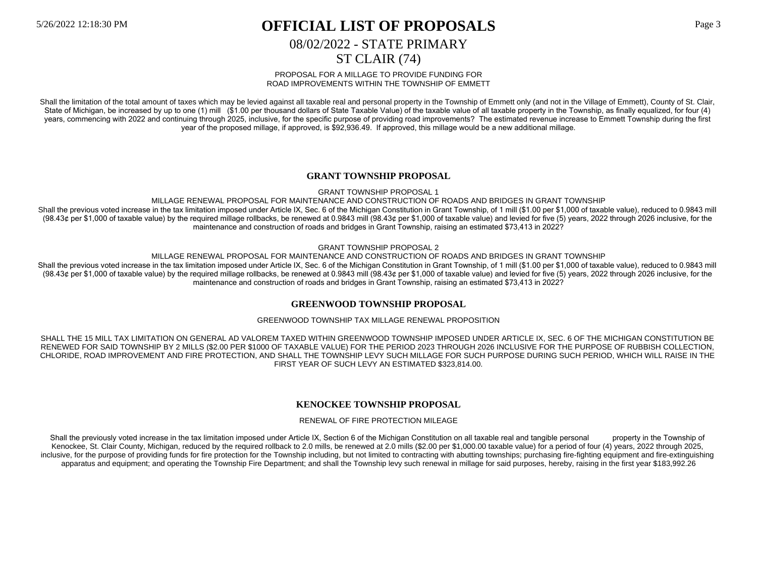# 08/02/2022 - STATE PRIMARY

# ST CLAIR (74)

#### PROPOSAL FOR A MILLAGE TO PROVIDE FUNDING FOR ROAD IMPROVEMENTS WITHIN THE TOWNSHIP OF EMMETT

Shall the limitation of the total amount of taxes which may be levied against all taxable real and personal property in the Township of Emmett only (and not in the Village of Emmett), County of St. Clair, State of Michigan, be increased by up to one (1) mill (\$1.00 per thousand dollars of State Taxable Value) of the taxable value of all taxable property in the Township, as finally equalized, for four (4) years, commencing with 2022 and continuing through 2025, inclusive, for the specific purpose of providing road improvements? The estimated revenue increase to Emmett Township during the first year of the proposed millage, if approved, is \$92,936.49. If approved, this millage would be a new additional millage.

## **GRANT TOWNSHIP PROPOSAL**

GRANT TOWNSHIP PROPOSAL 1

MILLAGE RENEWAL PROPOSAL FOR MAINTENANCE AND CONSTRUCTION OF ROADS AND BRIDGES IN GRANT TOWNSHIP

Shall the previous voted increase in the tax limitation imposed under Article IX, Sec. 6 of the Michigan Constitution in Grant Township, of 1 mill (\$1.00 per \$1,000 of taxable value), reduced to 0.9843 mill (98.43¢ per \$1,000 of taxable value) by the required millage rollbacks, be renewed at 0.9843 mill (98.43¢ per \$1,000 of taxable value) and levied for five (5) years, 2022 through 2026 inclusive, for the maintenance and construction of roads and bridges in Grant Township, raising an estimated \$73,413 in 2022?

GRANT TOWNSHIP PROPOSAL 2

MILLAGE RENEWAL PROPOSAL FOR MAINTENANCE AND CONSTRUCTION OF ROADS AND BRIDGES IN GRANT TOWNSHIP Shall the previous voted increase in the tax limitation imposed under Article IX, Sec. 6 of the Michigan Constitution in Grant Township, of 1 mill (\$1.00 per \$1,000 of taxable value), reduced to 0.9843 mill (98.43¢ per \$1,000 of taxable value) by the required millage rollbacks, be renewed at 0.9843 mill (98.43¢ per \$1,000 of taxable value) and levied for five (5) years, 2022 through 2026 inclusive, for the maintenance and construction of roads and bridges in Grant Township, raising an estimated \$73,413 in 2022?

## **GREENWOOD TOWNSHIP PROPOSAL**

### GREENWOOD TOWNSHIP TAX MILLAGE RENEWAL PROPOSITION

SHALL THE 15 MILL TAX LIMITATION ON GENERAL AD VALOREM TAXED WITHIN GREENWOOD TOWNSHIP IMPOSED UNDER ARTICLE IX, SEC. 6 OF THE MICHIGAN CONSTITUTION BE RENEWED FOR SAID TOWNSHIP BY 2 MILLS (\$2.00 PER \$1000 OF TAXABLE VALUE) FOR THE PERIOD 2023 THROUGH 2026 INCLUSIVE FOR THE PURPOSE OF RUBBISH COLLECTION, CHLORIDE, ROAD IMPROVEMENT AND FIRE PROTECTION, AND SHALL THE TOWNSHIP LEVY SUCH MILLAGE FOR SUCH PURPOSE DURING SUCH PERIOD, WHICH WILL RAISE IN THE FIRST YEAR OF SUCH LEVY AN ESTIMATED \$323,814.00.

## **KENOCKEE TOWNSHIP PROPOSAL**

#### RENEWAL OF FIRE PROTECTION MILEAGE

Shall the previously voted increase in the tax limitation imposed under Article IX, Section 6 of the Michigan Constitution on all taxable real and tangible personal property in the Township of Kenockee, St. Clair County, Michigan, reduced by the required rollback to 2.0 mills, be renewed at 2.0 mills (\$2.00 per \$1,000.00 taxable value) for a period of four (4) years, 2022 through 2025, inclusive, for the purpose of providing funds for fire protection for the Township including, but not limited to contracting with abutting townships; purchasing fire-fighting equipment and fire-extinguishing apparatus and equipment; and operating the Township Fire Department; and shall the Township levy such renewal in millage for said purposes, hereby, raising in the first year \$183,992.26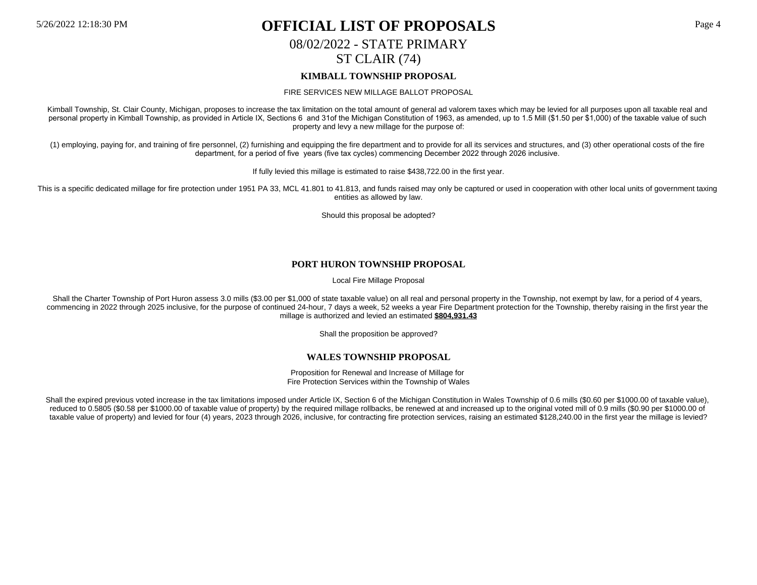# 08/02/2022 - STATE PRIMARY

# ST CLAIR (74)

## **KIMBALL TOWNSHIP PROPOSAL**

#### FIRE SERVICES NEW MILLAGE BALLOT PROPOSAL

Kimball Township, St. Clair County, Michigan, proposes to increase the tax limitation on the total amount of general ad valorem taxes which may be levied for all purposes upon all taxable real and personal property in Kimball Township, as provided in Article IX, Sections 6 and 31of the Michigan Constitution of 1963, as amended, up to 1.5 Mill (\$1.50 per \$1,000) of the taxable value of such property and levy a new millage for the purpose of:

(1) employing, paying for, and training of fire personnel, (2) furnishing and equipping the fire department and to provide for all its services and structures, and (3) other operational costs of the fire department, for a period of five years (five tax cycles) commencing December 2022 through 2026 inclusive.

If fully levied this millage is estimated to raise \$438,722.00 in the first year.

This is a specific dedicated millage for fire protection under 1951 PA 33, MCL 41.801 to 41.813, and funds raised may only be captured or used in cooperation with other local units of government taxing entities as allowed by law.

Should this proposal be adopted?

### **PORT HURON TOWNSHIP PROPOSAL**

Local Fire Millage Proposal

Shall the Charter Township of Port Huron assess 3.0 mills (\$3.00 per \$1.000 of state taxable value) on all real and personal property in the Township, not exempt by law, for a period of 4 years, commencing in 2022 through 2025 inclusive, for the purpose of continued 24-hour, 7 days a week, 52 weeks a year Fire Department protection for the Township, thereby raising in the first year the millage is authorized and levied an estimated **\$804,931.43**

Shall the proposition be approved?

#### **WALES TOWNSHIP PROPOSAL**

Proposition for Renewal and Increase of Millage for Fire Protection Services within the Township of Wales

Shall the expired previous voted increase in the tax limitations imposed under Article IX, Section 6 of the Michigan Constitution in Wales Township of 0.6 mills (\$0.60 per \$1000.00 of taxable value), reduced to 0.5805 (\$0.58 per \$1000.00 of taxable value of property) by the required millage rollbacks, be renewed at and increased up to the original voted mill of 0.9 mills (\$0.90 per \$1000.00 of taxable value of property) and levied for four (4) years, 2023 through 2026, inclusive, for contracting fire protection services, raising an estimated \$128,240.00 in the first year the millage is levied?